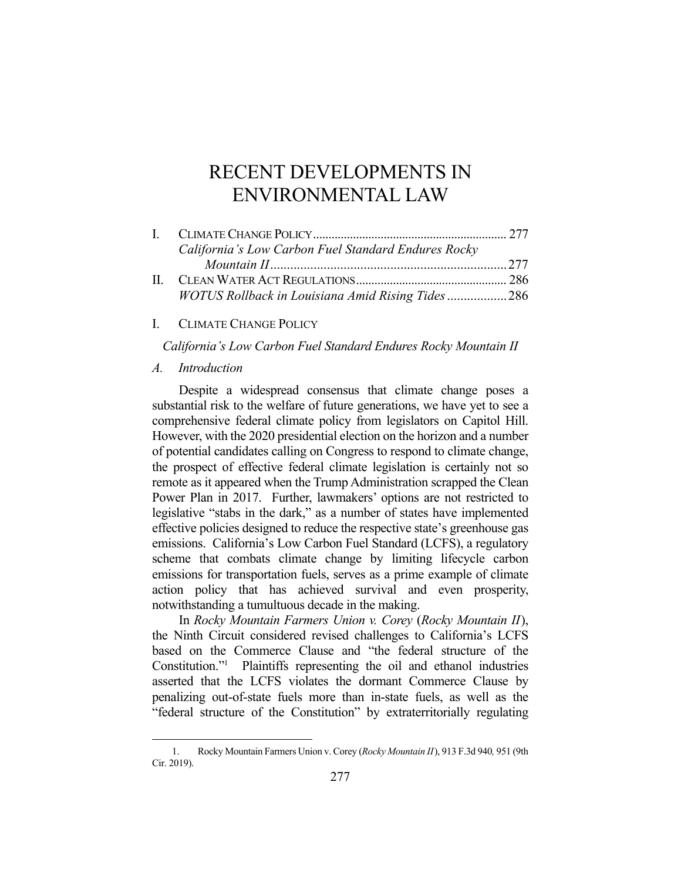# RECENT DEVELOPMENTS IN ENVIRONMENTAL LAW

| California's Low Carbon Fuel Standard Endures Rocky |  |
|-----------------------------------------------------|--|
|                                                     |  |
|                                                     |  |
| WOTUS Rollback in Louisiana Amid Rising Tides286    |  |

# I. CLIMATE CHANGE POLICY

*California's Low Carbon Fuel Standard Endures Rocky Mountain II* 

#### *A. Introduction*

1

 Despite a widespread consensus that climate change poses a substantial risk to the welfare of future generations, we have yet to see a comprehensive federal climate policy from legislators on Capitol Hill. However, with the 2020 presidential election on the horizon and a number of potential candidates calling on Congress to respond to climate change, the prospect of effective federal climate legislation is certainly not so remote as it appeared when the Trump Administration scrapped the Clean Power Plan in 2017. Further, lawmakers' options are not restricted to legislative "stabs in the dark," as a number of states have implemented effective policies designed to reduce the respective state's greenhouse gas emissions. California's Low Carbon Fuel Standard (LCFS), a regulatory scheme that combats climate change by limiting lifecycle carbon emissions for transportation fuels, serves as a prime example of climate action policy that has achieved survival and even prosperity, notwithstanding a tumultuous decade in the making.

 In *Rocky Mountain Farmers Union v. Corey* (*Rocky Mountain II*), the Ninth Circuit considered revised challenges to California's LCFS based on the Commerce Clause and "the federal structure of the Constitution."1 Plaintiffs representing the oil and ethanol industries asserted that the LCFS violates the dormant Commerce Clause by penalizing out-of-state fuels more than in-state fuels, as well as the "federal structure of the Constitution" by extraterritorially regulating

 <sup>1.</sup> Rocky Mountain Farmers Union v. Corey (*Rocky Mountain II*), 913 F.3d 940*,* 951 (9th Cir. 2019).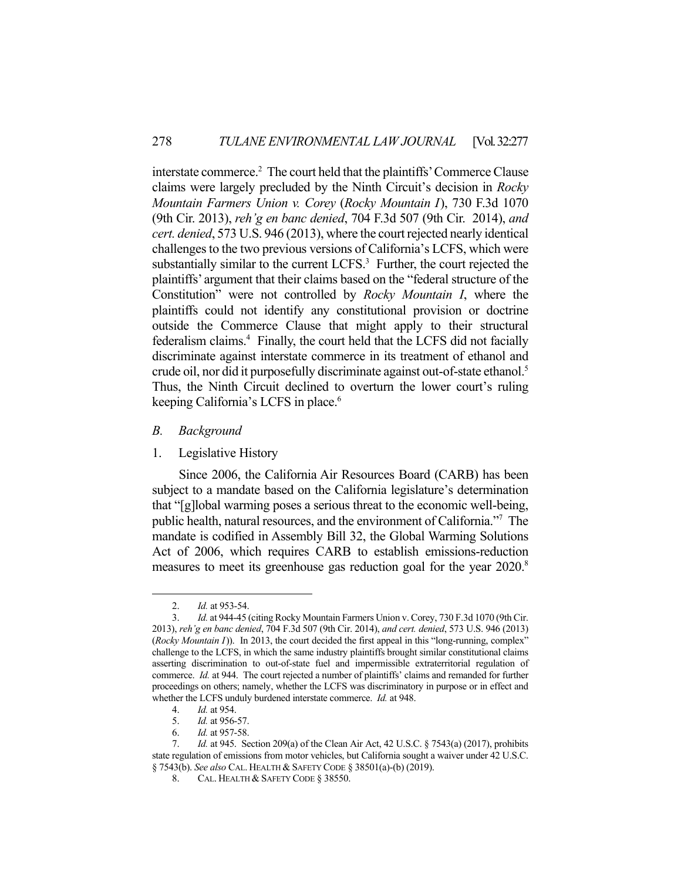interstate commerce.<sup>2</sup> The court held that the plaintiffs' Commerce Clause claims were largely precluded by the Ninth Circuit's decision in *Rocky Mountain Farmers Union v. Corey* (*Rocky Mountain I*), 730 F.3d 1070 (9th Cir. 2013), *reh'g en banc denied*, 704 F.3d 507 (9th Cir. 2014), *and cert. denied*, 573 U.S. 946 (2013), where the court rejected nearly identical challenges to the two previous versions of California's LCFS, which were substantially similar to the current  $LCFS<sup>3</sup>$  Further, the court rejected the plaintiffs' argument that their claims based on the "federal structure of the Constitution" were not controlled by *Rocky Mountain I*, where the plaintiffs could not identify any constitutional provision or doctrine outside the Commerce Clause that might apply to their structural federalism claims.<sup>4</sup> Finally, the court held that the LCFS did not facially discriminate against interstate commerce in its treatment of ethanol and crude oil, nor did it purposefully discriminate against out-of-state ethanol.<sup>5</sup> Thus, the Ninth Circuit declined to overturn the lower court's ruling keeping California's LCFS in place.<sup>6</sup>

- *B. Background*
- 1. Legislative History

 Since 2006, the California Air Resources Board (CARB) has been subject to a mandate based on the California legislature's determination that "[g]lobal warming poses a serious threat to the economic well-being, public health, natural resources, and the environment of California."7 The mandate is codified in Assembly Bill 32, the Global Warming Solutions Act of 2006, which requires CARB to establish emissions-reduction measures to meet its greenhouse gas reduction goal for the year 2020.<sup>8</sup>

 <sup>2.</sup> *Id.* at 953-54.

 <sup>3.</sup> *Id.* at 944-45 (citing Rocky Mountain Farmers Union v. Corey, 730 F.3d 1070 (9th Cir. 2013), *reh'g en banc denied*, 704 F.3d 507 (9th Cir. 2014), *and cert. denied*, 573 U.S. 946 (2013) (*Rocky Mountain I*)). In 2013, the court decided the first appeal in this "long-running, complex" challenge to the LCFS, in which the same industry plaintiffs brought similar constitutional claims asserting discrimination to out-of-state fuel and impermissible extraterritorial regulation of commerce. *Id.* at 944. The court rejected a number of plaintiffs' claims and remanded for further proceedings on others; namely, whether the LCFS was discriminatory in purpose or in effect and whether the LCFS unduly burdened interstate commerce. *Id.* at 948.

 <sup>4.</sup> *Id.* at 954.

 <sup>5.</sup> *Id.* at 956-57.

 <sup>6.</sup> *Id.* at 957-58.

 <sup>7.</sup> *Id.* at 945. Section 209(a) of the Clean Air Act, 42 U.S.C. § 7543(a) (2017), prohibits state regulation of emissions from motor vehicles, but California sought a waiver under 42 U.S.C. § 7543(b). *See also* CAL. HEALTH & SAFETY CODE § 38501(a)-(b) (2019).

<sup>8.</sup> CAL. HEALTH & SAFETY CODE § 38550.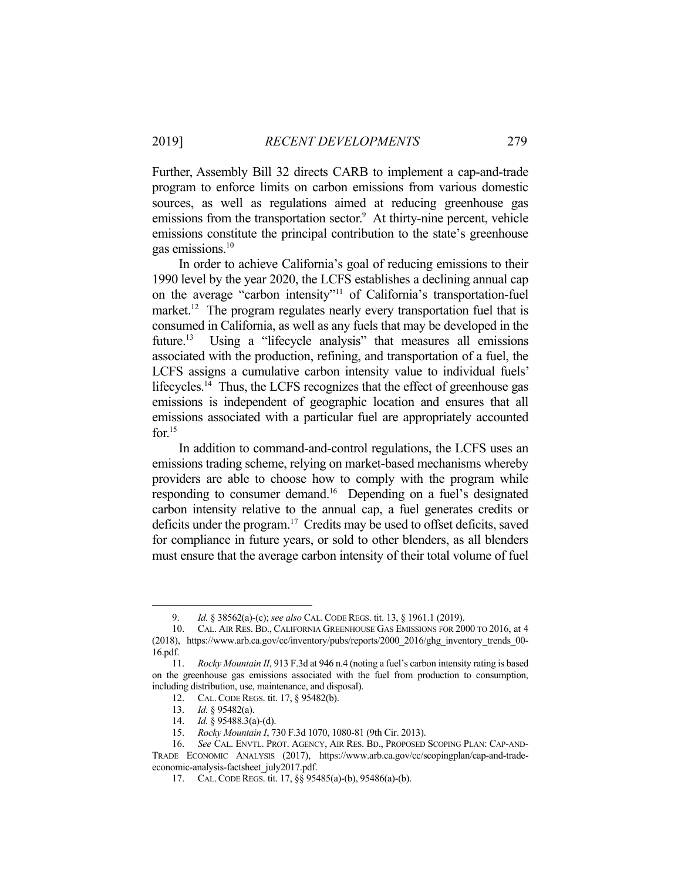Further, Assembly Bill 32 directs CARB to implement a cap-and-trade program to enforce limits on carbon emissions from various domestic sources, as well as regulations aimed at reducing greenhouse gas emissions from the transportation sector.<sup>9</sup> At thirty-nine percent, vehicle emissions constitute the principal contribution to the state's greenhouse gas emissions.10

 In order to achieve California's goal of reducing emissions to their 1990 level by the year 2020, the LCFS establishes a declining annual cap on the average "carbon intensity"11 of California's transportation-fuel market.<sup>12</sup> The program regulates nearly every transportation fuel that is consumed in California, as well as any fuels that may be developed in the future.<sup>13</sup> Using a "lifecycle analysis" that measures all emissions associated with the production, refining, and transportation of a fuel, the LCFS assigns a cumulative carbon intensity value to individual fuels' lifecycles.<sup>14</sup> Thus, the LCFS recognizes that the effect of greenhouse gas emissions is independent of geographic location and ensures that all emissions associated with a particular fuel are appropriately accounted for. $15$ 

 In addition to command-and-control regulations, the LCFS uses an emissions trading scheme, relying on market-based mechanisms whereby providers are able to choose how to comply with the program while responding to consumer demand.<sup>16</sup> Depending on a fuel's designated carbon intensity relative to the annual cap, a fuel generates credits or deficits under the program.17 Credits may be used to offset deficits, saved for compliance in future years, or sold to other blenders, as all blenders must ensure that the average carbon intensity of their total volume of fuel

<u>.</u>

 <sup>9.</sup> *Id.* § 38562(a)-(c); *see also* CAL.CODE REGS. tit. 13, § 1961.1 (2019).

 <sup>10.</sup> CAL. AIR RES. BD., CALIFORNIA GREENHOUSE GAS EMISSIONS FOR 2000 TO 2016, at 4 (2018), https://www.arb.ca.gov/cc/inventory/pubs/reports/2000\_2016/ghg\_inventory\_trends\_00- 16.pdf.

 <sup>11.</sup> *Rocky Mountain II*, 913 F.3d at 946 n.4 (noting a fuel's carbon intensity rating is based on the greenhouse gas emissions associated with the fuel from production to consumption, including distribution, use, maintenance, and disposal).

 <sup>12.</sup> CAL.CODE REGS. tit. 17, § 95482(b).

 <sup>13.</sup> *Id.* § 95482(a).

 <sup>14.</sup> *Id.* § 95488.3(a)-(d).

 <sup>15.</sup> *Rocky Mountain I*, 730 F.3d 1070, 1080-81 (9th Cir. 2013).

 <sup>16.</sup> *See* CAL. ENVTL. PROT. AGENCY, AIR RES. BD., PROPOSED SCOPING PLAN: CAP-AND-TRADE ECONOMIC ANALYSIS (2017), https://www.arb.ca.gov/cc/scopingplan/cap-and-tradeeconomic-analysis-factsheet\_july2017.pdf.

 <sup>17.</sup> CAL.CODE REGS. tit. 17, §§ 95485(a)-(b), 95486(a)-(b).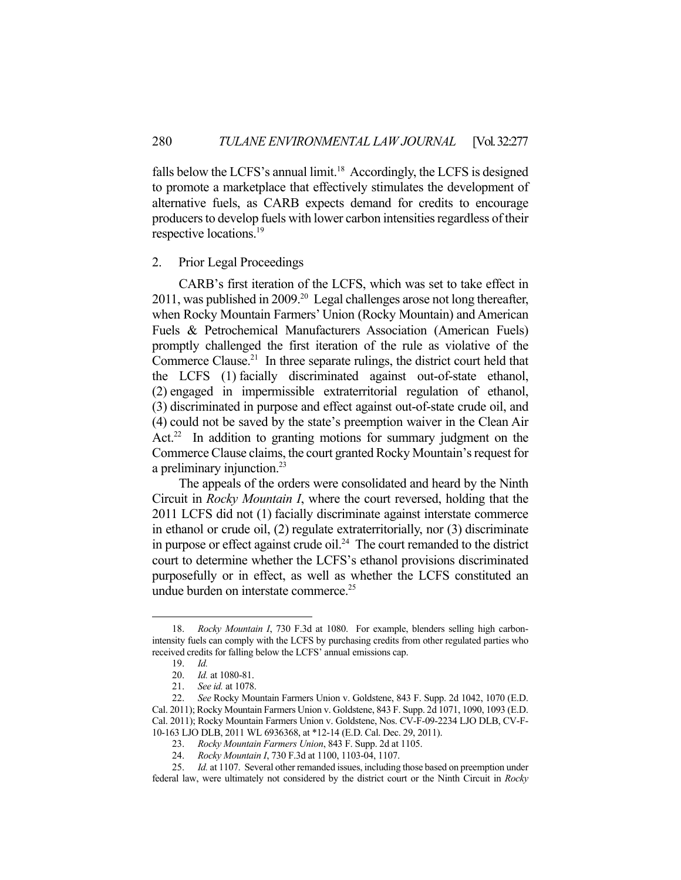falls below the LCFS's annual limit.<sup>18</sup> Accordingly, the LCFS is designed to promote a marketplace that effectively stimulates the development of alternative fuels, as CARB expects demand for credits to encourage producers to develop fuels with lower carbon intensities regardless of their respective locations.<sup>19</sup>

### 2. Prior Legal Proceedings

 CARB's first iteration of the LCFS, which was set to take effect in 2011, was published in 2009.<sup>20</sup> Legal challenges arose not long thereafter, when Rocky Mountain Farmers' Union (Rocky Mountain) and American Fuels & Petrochemical Manufacturers Association (American Fuels) promptly challenged the first iteration of the rule as violative of the Commerce Clause.<sup>21</sup> In three separate rulings, the district court held that the LCFS (1) facially discriminated against out-of-state ethanol, (2) engaged in impermissible extraterritorial regulation of ethanol, (3) discriminated in purpose and effect against out-of-state crude oil, and (4) could not be saved by the state's preemption waiver in the Clean Air Act.<sup>22</sup> In addition to granting motions for summary judgment on the Commerce Clause claims, the court granted Rocky Mountain's request for a preliminary injunction.<sup>23</sup>

 The appeals of the orders were consolidated and heard by the Ninth Circuit in *Rocky Mountain I*, where the court reversed, holding that the 2011 LCFS did not (1) facially discriminate against interstate commerce in ethanol or crude oil, (2) regulate extraterritorially, nor (3) discriminate in purpose or effect against crude oil.<sup>24</sup> The court remanded to the district court to determine whether the LCFS's ethanol provisions discriminated purposefully or in effect, as well as whether the LCFS constituted an undue burden on interstate commerce.<sup>25</sup>

 <sup>18.</sup> *Rocky Mountain I*, 730 F.3d at 1080. For example, blenders selling high carbonintensity fuels can comply with the LCFS by purchasing credits from other regulated parties who received credits for falling below the LCFS' annual emissions cap.

 <sup>19.</sup> *Id.*

 <sup>20.</sup> *Id.* at 1080-81.

 <sup>21.</sup> *See id.* at 1078.

 <sup>22.</sup> *See* Rocky Mountain Farmers Union v. Goldstene, 843 F. Supp. 2d 1042, 1070 (E.D. Cal. 2011); Rocky Mountain Farmers Union v. Goldstene, 843 F. Supp. 2d 1071, 1090, 1093 (E.D. Cal. 2011); Rocky Mountain Farmers Union v. Goldstene, Nos. CV-F-09-2234 LJO DLB, CV-F-10-163 LJO DLB, 2011 WL 6936368, at \*12-14 (E.D. Cal. Dec. 29, 2011).

 <sup>23.</sup> *Rocky Mountain Farmers Union*, 843 F. Supp. 2d at 1105.

 <sup>24.</sup> *Rocky Mountain I*, 730 F.3d at 1100, 1103-04, 1107.

 <sup>25.</sup> *Id.* at 1107. Several other remanded issues, including those based on preemption under federal law, were ultimately not considered by the district court or the Ninth Circuit in *Rocky*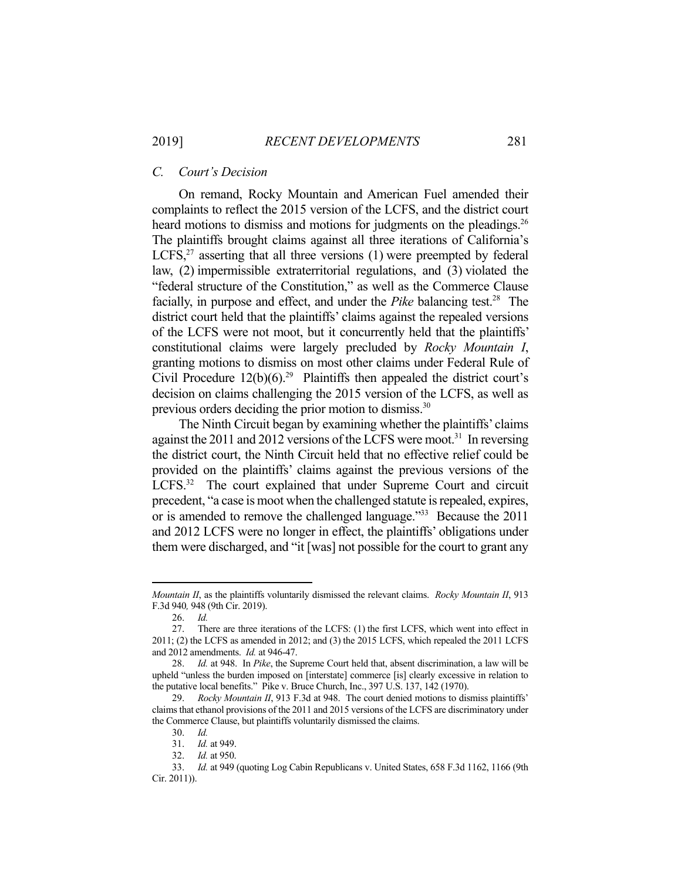#### *C. Court's Decision*

 On remand, Rocky Mountain and American Fuel amended their complaints to reflect the 2015 version of the LCFS, and the district court heard motions to dismiss and motions for judgments on the pleadings.<sup>26</sup> The plaintiffs brought claims against all three iterations of California's LCFS, $27$  asserting that all three versions (1) were preempted by federal law, (2) impermissible extraterritorial regulations, and (3) violated the "federal structure of the Constitution," as well as the Commerce Clause facially, in purpose and effect, and under the *Pike* balancing test.<sup>28</sup> The district court held that the plaintiffs' claims against the repealed versions of the LCFS were not moot, but it concurrently held that the plaintiffs' constitutional claims were largely precluded by *Rocky Mountain I*, granting motions to dismiss on most other claims under Federal Rule of Civil Procedure  $12(b)(6)^{29}$  Plaintiffs then appealed the district court's decision on claims challenging the 2015 version of the LCFS, as well as previous orders deciding the prior motion to dismiss.<sup>30</sup>

 The Ninth Circuit began by examining whether the plaintiffs' claims against the 2011 and 2012 versions of the LCFS were moot.<sup>31</sup> In reversing the district court, the Ninth Circuit held that no effective relief could be provided on the plaintiffs' claims against the previous versions of the LCFS.<sup>32</sup> The court explained that under Supreme Court and circuit precedent, "a case is moot when the challenged statute is repealed, expires, or is amended to remove the challenged language."33 Because the 2011 and 2012 LCFS were no longer in effect, the plaintiffs' obligations under them were discharged, and "it [was] not possible for the court to grant any

*Mountain II*, as the plaintiffs voluntarily dismissed the relevant claims. *Rocky Mountain II*, 913 F.3d 940*,* 948 (9th Cir. 2019).

 <sup>26.</sup> *Id.*

 <sup>27.</sup> There are three iterations of the LCFS: (1) the first LCFS, which went into effect in 2011; (2) the LCFS as amended in 2012; and (3) the 2015 LCFS, which repealed the 2011 LCFS and 2012 amendments. *Id.* at 946-47.

 <sup>28.</sup> *Id.* at 948. In *Pike*, the Supreme Court held that, absent discrimination, a law will be upheld "unless the burden imposed on [interstate] commerce [is] clearly excessive in relation to the putative local benefits." Pike v. Bruce Church, Inc., 397 U.S. 137, 142 (1970).

 <sup>29.</sup> *Rocky Mountain II*, 913 F.3d at 948. The court denied motions to dismiss plaintiffs' claims that ethanol provisions of the 2011 and 2015 versions of the LCFS are discriminatory under the Commerce Clause, but plaintiffs voluntarily dismissed the claims.

 <sup>30.</sup> *Id.*

 <sup>31.</sup> *Id.* at 949.

 <sup>32.</sup> *Id.* at 950.

 <sup>33.</sup> *Id.* at 949 (quoting Log Cabin Republicans v. United States, 658 F.3d 1162, 1166 (9th Cir. 2011)).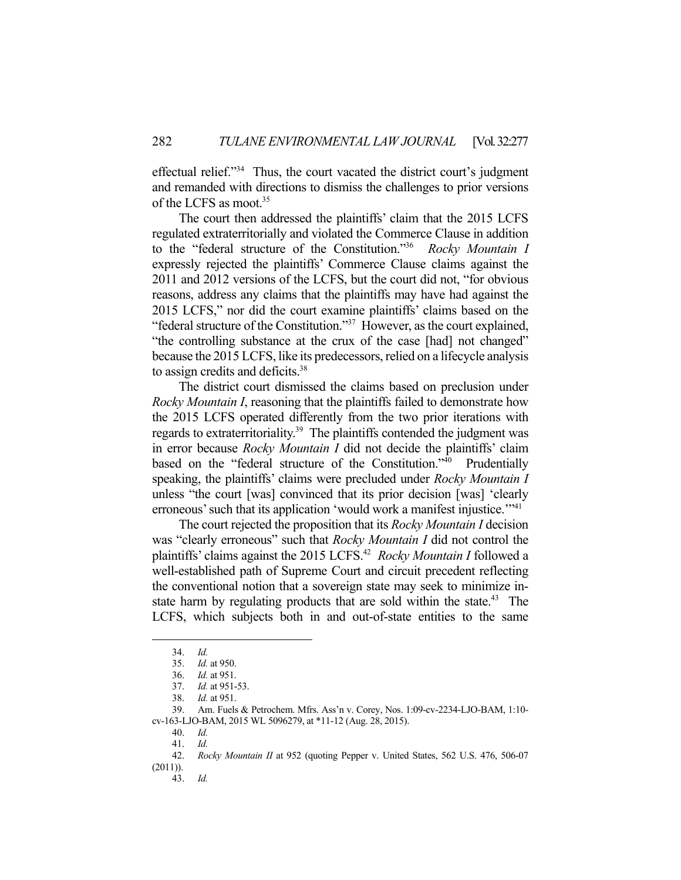effectual relief."34 Thus, the court vacated the district court's judgment and remanded with directions to dismiss the challenges to prior versions of the LCFS as moot.<sup>35</sup>

 The court then addressed the plaintiffs' claim that the 2015 LCFS regulated extraterritorially and violated the Commerce Clause in addition to the "federal structure of the Constitution."36 *Rocky Mountain I* expressly rejected the plaintiffs' Commerce Clause claims against the 2011 and 2012 versions of the LCFS, but the court did not, "for obvious reasons, address any claims that the plaintiffs may have had against the 2015 LCFS," nor did the court examine plaintiffs' claims based on the "federal structure of the Constitution."37 However, as the court explained, "the controlling substance at the crux of the case [had] not changed" because the 2015 LCFS, like its predecessors, relied on a lifecycle analysis to assign credits and deficits.38

 The district court dismissed the claims based on preclusion under *Rocky Mountain I*, reasoning that the plaintiffs failed to demonstrate how the 2015 LCFS operated differently from the two prior iterations with regards to extraterritoriality.<sup>39</sup> The plaintiffs contended the judgment was in error because *Rocky Mountain I* did not decide the plaintiffs' claim based on the "federal structure of the Constitution."40 Prudentially speaking, the plaintiffs' claims were precluded under *Rocky Mountain I* unless "the court [was] convinced that its prior decision [was] 'clearly erroneous' such that its application 'would work a manifest injustice.'"<sup>41</sup>

 The court rejected the proposition that its *Rocky Mountain I* decision was "clearly erroneous" such that *Rocky Mountain I* did not control the plaintiffs' claims against the 2015 LCFS.42 *Rocky Mountain I* followed a well-established path of Supreme Court and circuit precedent reflecting the conventional notion that a sovereign state may seek to minimize instate harm by regulating products that are sold within the state.<sup>43</sup> The LCFS, which subjects both in and out-of-state entities to the same

 <sup>34.</sup> *Id.*

 <sup>35.</sup> *Id.* at 950.

 <sup>36.</sup> *Id.* at 951.

 <sup>37.</sup> *Id.* at 951-53.

 <sup>38.</sup> *Id.* at 951.

 <sup>39.</sup> Am. Fuels & Petrochem. Mfrs. Ass'n v. Corey, Nos. 1:09-cv-2234-LJO-BAM, 1:10 cv-163-LJO-BAM, 2015 WL 5096279, at \*11-12 (Aug. 28, 2015).

 <sup>40.</sup> *Id.*

 <sup>41.</sup> *Id.*

 <sup>42.</sup> *Rocky Mountain II* at 952 (quoting Pepper v. United States, 562 U.S. 476, 506-07 (2011)).

 <sup>43.</sup> *Id.*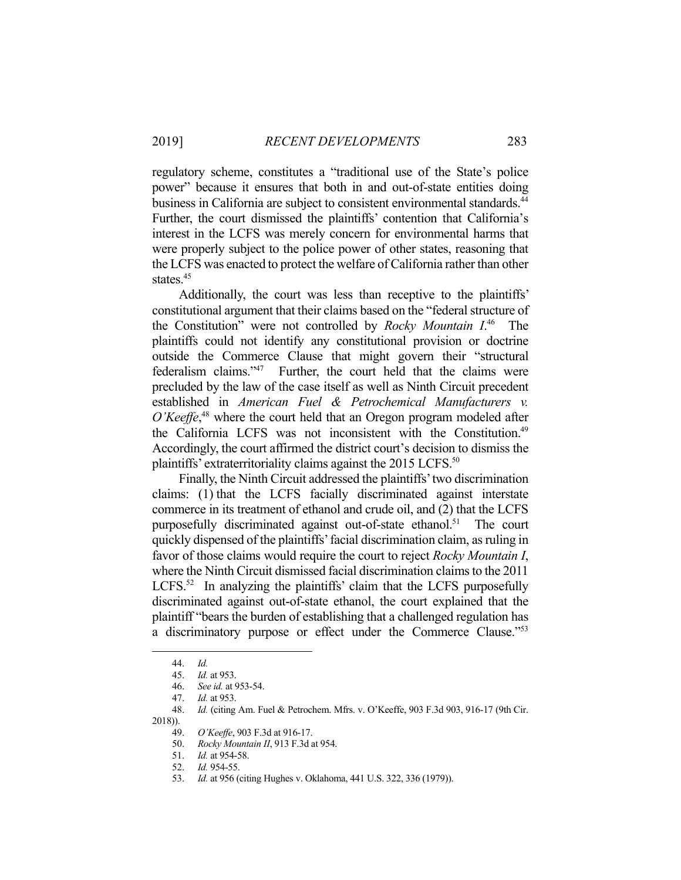regulatory scheme, constitutes a "traditional use of the State's police power" because it ensures that both in and out-of-state entities doing business in California are subject to consistent environmental standards.<sup>44</sup> Further, the court dismissed the plaintiffs' contention that California's interest in the LCFS was merely concern for environmental harms that were properly subject to the police power of other states, reasoning that the LCFS was enacted to protect the welfare of California rather than other states.<sup>45</sup>

 Additionally, the court was less than receptive to the plaintiffs' constitutional argument that their claims based on the "federal structure of the Constitution" were not controlled by *Rocky Mountain I*. 46 The plaintiffs could not identify any constitutional provision or doctrine outside the Commerce Clause that might govern their "structural federalism claims."47 Further, the court held that the claims were precluded by the law of the case itself as well as Ninth Circuit precedent established in *American Fuel & Petrochemical Manufacturers v.*  O'Keeffe,<sup>48</sup> where the court held that an Oregon program modeled after the California LCFS was not inconsistent with the Constitution.<sup>49</sup> Accordingly, the court affirmed the district court's decision to dismiss the plaintiffs' extraterritoriality claims against the 2015 LCFS.<sup>50</sup>

 Finally, the Ninth Circuit addressed the plaintiffs' two discrimination claims: (1) that the LCFS facially discriminated against interstate commerce in its treatment of ethanol and crude oil, and (2) that the LCFS purposefully discriminated against out-of-state ethanol.<sup>51</sup> The court quickly dispensed of the plaintiffs' facial discrimination claim, as ruling in favor of those claims would require the court to reject *Rocky Mountain I*, where the Ninth Circuit dismissed facial discrimination claims to the 2011 LCFS. $52$  In analyzing the plaintiffs' claim that the LCFS purposefully discriminated against out-of-state ethanol, the court explained that the plaintiff "bears the burden of establishing that a challenged regulation has a discriminatory purpose or effect under the Commerce Clause."53

 <sup>44.</sup> *Id.*

 <sup>45.</sup> *Id.* at 953.

 <sup>46.</sup> *See id.* at 953-54.

 <sup>47.</sup> *Id.* at 953.

 <sup>48.</sup> *Id.* (citing Am. Fuel & Petrochem. Mfrs. v. O'Keeffe, 903 F.3d 903, 916-17 (9th Cir. 2018)).

 <sup>49.</sup> *O'Keeffe*, 903 F.3d at 916-17.

 <sup>50.</sup> *Rocky Mountain II*, 913 F.3d at 954.

 <sup>51.</sup> *Id.* at 954-58.

 <sup>52.</sup> *Id.* 954-55.

 <sup>53.</sup> *Id.* at 956 (citing Hughes v. Oklahoma, 441 U.S. 322, 336 (1979)).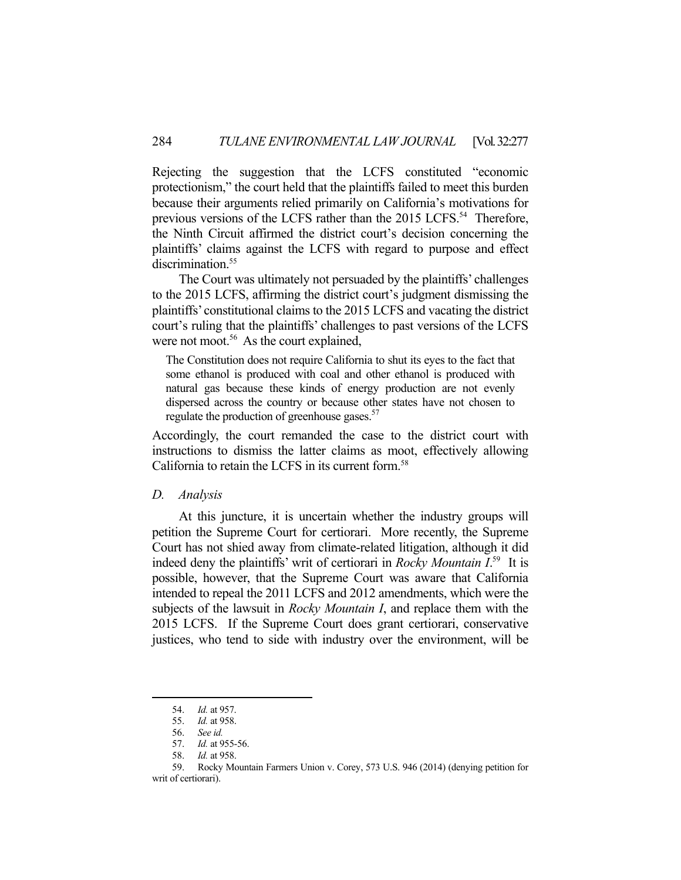Rejecting the suggestion that the LCFS constituted "economic protectionism," the court held that the plaintiffs failed to meet this burden because their arguments relied primarily on California's motivations for previous versions of the LCFS rather than the 2015 LCFS.<sup>54</sup> Therefore, the Ninth Circuit affirmed the district court's decision concerning the plaintiffs' claims against the LCFS with regard to purpose and effect discrimination.<sup>55</sup>

 The Court was ultimately not persuaded by the plaintiffs' challenges to the 2015 LCFS, affirming the district court's judgment dismissing the plaintiffs' constitutional claims to the 2015 LCFS and vacating the district court's ruling that the plaintiffs' challenges to past versions of the LCFS were not moot.<sup>56</sup> As the court explained,

The Constitution does not require California to shut its eyes to the fact that some ethanol is produced with coal and other ethanol is produced with natural gas because these kinds of energy production are not evenly dispersed across the country or because other states have not chosen to regulate the production of greenhouse gases.<sup>57</sup>

Accordingly, the court remanded the case to the district court with instructions to dismiss the latter claims as moot, effectively allowing California to retain the LCFS in its current form.58

### *D. Analysis*

 At this juncture, it is uncertain whether the industry groups will petition the Supreme Court for certiorari. More recently, the Supreme Court has not shied away from climate-related litigation, although it did indeed deny the plaintiffs' writ of certiorari in *Rocky Mountain I*. 59 It is possible, however, that the Supreme Court was aware that California intended to repeal the 2011 LCFS and 2012 amendments, which were the subjects of the lawsuit in *Rocky Mountain I*, and replace them with the 2015 LCFS. If the Supreme Court does grant certiorari, conservative justices, who tend to side with industry over the environment, will be

 <sup>54.</sup> *Id.* at 957.

 <sup>55.</sup> *Id.* at 958.

 <sup>56.</sup> *See id.*

 <sup>57.</sup> *Id.* at 955-56.

 <sup>58.</sup> *Id.* at 958.

 <sup>59.</sup> Rocky Mountain Farmers Union v. Corey, 573 U.S. 946 (2014) (denying petition for writ of certiorari).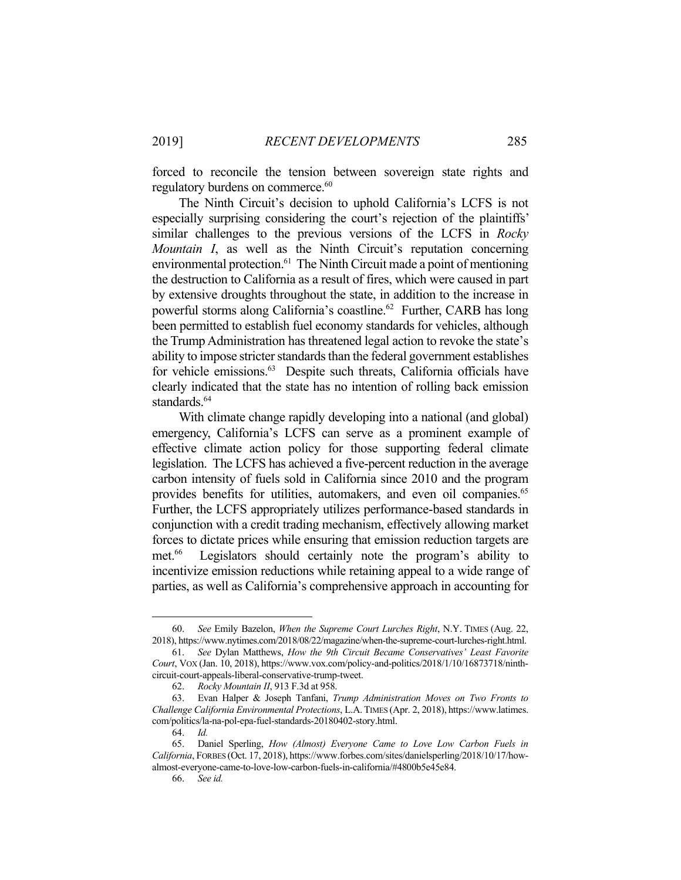forced to reconcile the tension between sovereign state rights and regulatory burdens on commerce.<sup>60</sup>

 The Ninth Circuit's decision to uphold California's LCFS is not especially surprising considering the court's rejection of the plaintiffs' similar challenges to the previous versions of the LCFS in *Rocky Mountain I*, as well as the Ninth Circuit's reputation concerning environmental protection.61 The Ninth Circuit made a point of mentioning the destruction to California as a result of fires, which were caused in part by extensive droughts throughout the state, in addition to the increase in powerful storms along California's coastline.<sup>62</sup> Further, CARB has long been permitted to establish fuel economy standards for vehicles, although the Trump Administration has threatened legal action to revoke the state's ability to impose stricter standards than the federal government establishes for vehicle emissions.<sup>63</sup> Despite such threats, California officials have clearly indicated that the state has no intention of rolling back emission standards.<sup>64</sup>

 With climate change rapidly developing into a national (and global) emergency, California's LCFS can serve as a prominent example of effective climate action policy for those supporting federal climate legislation. The LCFS has achieved a five-percent reduction in the average carbon intensity of fuels sold in California since 2010 and the program provides benefits for utilities, automakers, and even oil companies.<sup>65</sup> Further, the LCFS appropriately utilizes performance-based standards in conjunction with a credit trading mechanism, effectively allowing market forces to dictate prices while ensuring that emission reduction targets are met.<sup>66</sup> Legislators should certainly note the program's ability to incentivize emission reductions while retaining appeal to a wide range of parties, as well as California's comprehensive approach in accounting for

 <sup>60.</sup> *See* Emily Bazelon, *When the Supreme Court Lurches Right*, N.Y. TIMES (Aug. 22, 2018), https://www.nytimes.com/2018/08/22/magazine/when-the-supreme-court-lurches-right.html.

 <sup>61.</sup> *See* Dylan Matthews, *How the 9th Circuit Became Conservatives' Least Favorite Court*, VOX (Jan. 10, 2018), https://www.vox.com/policy-and-politics/2018/1/10/16873718/ninthcircuit-court-appeals-liberal-conservative-trump-tweet.

 <sup>62.</sup> *Rocky Mountain II*, 913 F.3d at 958.

 <sup>63.</sup> Evan Halper & Joseph Tanfani, *Trump Administration Moves on Two Fronts to Challenge California Environmental Protections*, L.A.TIMES (Apr. 2, 2018), https://www.latimes. com/politics/la-na-pol-epa-fuel-standards-20180402-story.html.

 <sup>64.</sup> *Id.*

 <sup>65.</sup> Daniel Sperling, *How (Almost) Everyone Came to Love Low Carbon Fuels in California*, FORBES (Oct. 17, 2018), https://www.forbes.com/sites/danielsperling/2018/10/17/howalmost-everyone-came-to-love-low-carbon-fuels-in-california/#4800b5e45e84.

 <sup>66.</sup> *See id.*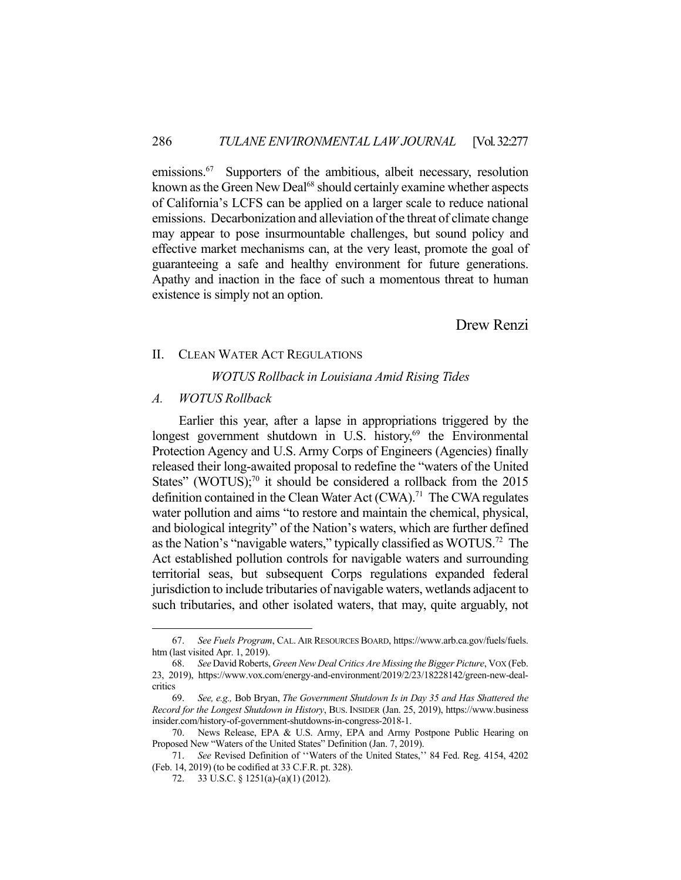emissions.<sup>67</sup> Supporters of the ambitious, albeit necessary, resolution known as the Green New Deal<sup>68</sup> should certainly examine whether aspects of California's LCFS can be applied on a larger scale to reduce national emissions. Decarbonization and alleviation of the threat of climate change may appear to pose insurmountable challenges, but sound policy and effective market mechanisms can, at the very least, promote the goal of guaranteeing a safe and healthy environment for future generations. Apathy and inaction in the face of such a momentous threat to human existence is simply not an option.

Drew Renzi

### II. CLEAN WATER ACT REGULATIONS

#### *WOTUS Rollback in Louisiana Amid Rising Tides*

## *A. WOTUS Rollback*

<u>.</u>

 Earlier this year, after a lapse in appropriations triggered by the longest government shutdown in U.S. history, $69$  the Environmental Protection Agency and U.S. Army Corps of Engineers (Agencies) finally released their long-awaited proposal to redefine the "waters of the United States" (WOTUS);<sup>70</sup> it should be considered a rollback from the 2015 definition contained in the Clean Water Act  $(CWA)$ <sup>71</sup> The CWA regulates water pollution and aims "to restore and maintain the chemical, physical, and biological integrity" of the Nation's waters, which are further defined as the Nation's "navigable waters," typically classified as WOTUS.72 The Act established pollution controls for navigable waters and surrounding territorial seas, but subsequent Corps regulations expanded federal jurisdiction to include tributaries of navigable waters, wetlands adjacent to such tributaries, and other isolated waters, that may, quite arguably, not

 <sup>67.</sup> *See Fuels Program*, CAL. AIR RESOURCES BOARD, https://www.arb.ca.gov/fuels/fuels. htm (last visited Apr. 1, 2019).

 <sup>68.</sup> *See* David Roberts, *Green New Deal Critics Are Missing the Bigger Picture*, VOX (Feb. 23, 2019), https://www.vox.com/energy-and-environment/2019/2/23/18228142/green-new-dealcritics

 <sup>69.</sup> *See, e.g.,* Bob Bryan, *The Government Shutdown Is in Day 35 and Has Shattered the Record for the Longest Shutdown in History*, BUS. INSIDER (Jan. 25, 2019), https://www.business insider.com/history-of-government-shutdowns-in-congress-2018-1.

 <sup>70.</sup> News Release, EPA & U.S. Army, EPA and Army Postpone Public Hearing on Proposed New "Waters of the United States" Definition (Jan. 7, 2019).

 <sup>71.</sup> *See* Revised Definition of ''Waters of the United States,'' 84 Fed. Reg. 4154, 4202 (Feb. 14, 2019) (to be codified at 33 C.F.R. pt. 328).

 <sup>72. 33</sup> U.S.C. § 1251(a)-(a)(1) (2012).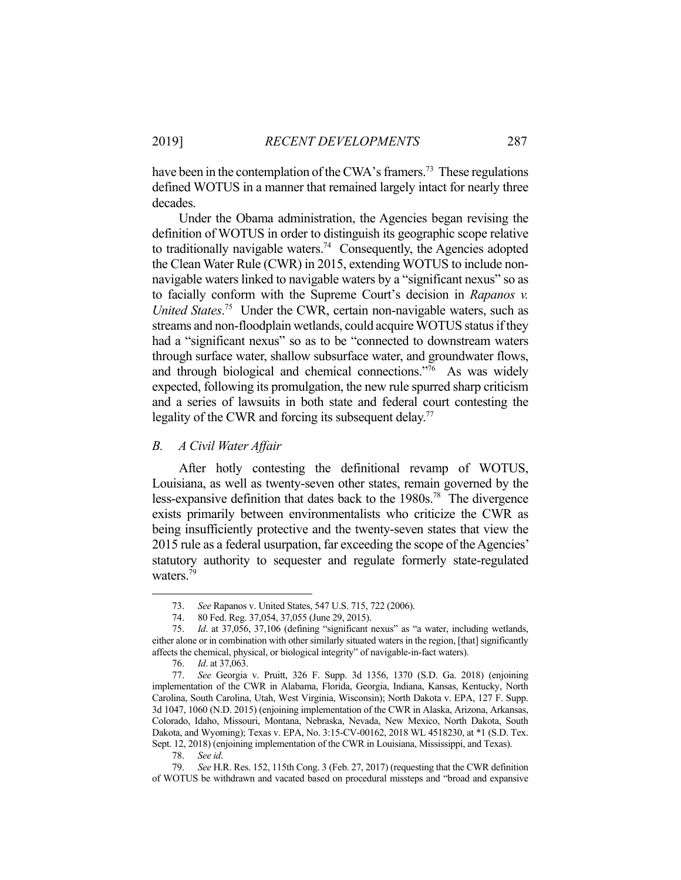have been in the contemplation of the CWA's framers.<sup>73</sup> These regulations defined WOTUS in a manner that remained largely intact for nearly three decades.

 Under the Obama administration, the Agencies began revising the definition of WOTUS in order to distinguish its geographic scope relative to traditionally navigable waters.<sup>74</sup> Consequently, the Agencies adopted the Clean Water Rule (CWR) in 2015, extending WOTUS to include nonnavigable waters linked to navigable waters by a "significant nexus" so as to facially conform with the Supreme Court's decision in *Rapanos v. United States*. 75 Under the CWR, certain non-navigable waters, such as streams and non-floodplain wetlands, could acquire WOTUS status if they had a "significant nexus" so as to be "connected to downstream waters through surface water, shallow subsurface water, and groundwater flows, and through biological and chemical connections."76 As was widely expected, following its promulgation, the new rule spurred sharp criticism and a series of lawsuits in both state and federal court contesting the legality of the CWR and forcing its subsequent delay.<sup>77</sup>

# *B. A Civil Water Affair*

 After hotly contesting the definitional revamp of WOTUS, Louisiana, as well as twenty-seven other states, remain governed by the less-expansive definition that dates back to the 1980s.78 The divergence exists primarily between environmentalists who criticize the CWR as being insufficiently protective and the twenty-seven states that view the 2015 rule as a federal usurpation, far exceeding the scope of the Agencies' statutory authority to sequester and regulate formerly state-regulated waters.<sup>79</sup>

 <sup>73.</sup> *See* Rapanos v. United States, 547 U.S. 715, 722 (2006).

 <sup>74. 80</sup> Fed. Reg. 37,054, 37,055 (June 29, 2015).

 <sup>75.</sup> *Id*. at 37,056, 37,106 (defining "significant nexus" as "a water, including wetlands, either alone or in combination with other similarly situated waters in the region, [that] significantly affects the chemical, physical, or biological integrity" of navigable-in-fact waters).

 <sup>76.</sup> *Id*. at 37,063.

 <sup>77.</sup> *See* Georgia v. Pruitt, 326 F. Supp. 3d 1356, 1370 (S.D. Ga. 2018) (enjoining implementation of the CWR in Alabama, Florida, Georgia, Indiana, Kansas, Kentucky, North Carolina, South Carolina, Utah, West Virginia, Wisconsin); North Dakota v. EPA, 127 F. Supp. 3d 1047, 1060 (N.D. 2015) (enjoining implementation of the CWR in Alaska, Arizona, Arkansas, Colorado, Idaho, Missouri, Montana, Nebraska, Nevada, New Mexico, North Dakota, South Dakota, and Wyoming); Texas v. EPA, No. 3:15-CV-00162, 2018 WL 4518230, at \*1 (S.D. Tex. Sept. 12, 2018) (enjoining implementation of the CWR in Louisiana, Mississippi, and Texas).

 <sup>78.</sup> *See id*.

 <sup>79.</sup> *See* H.R. Res. 152, 115th Cong. 3 (Feb. 27, 2017) (requesting that the CWR definition of WOTUS be withdrawn and vacated based on procedural missteps and "broad and expansive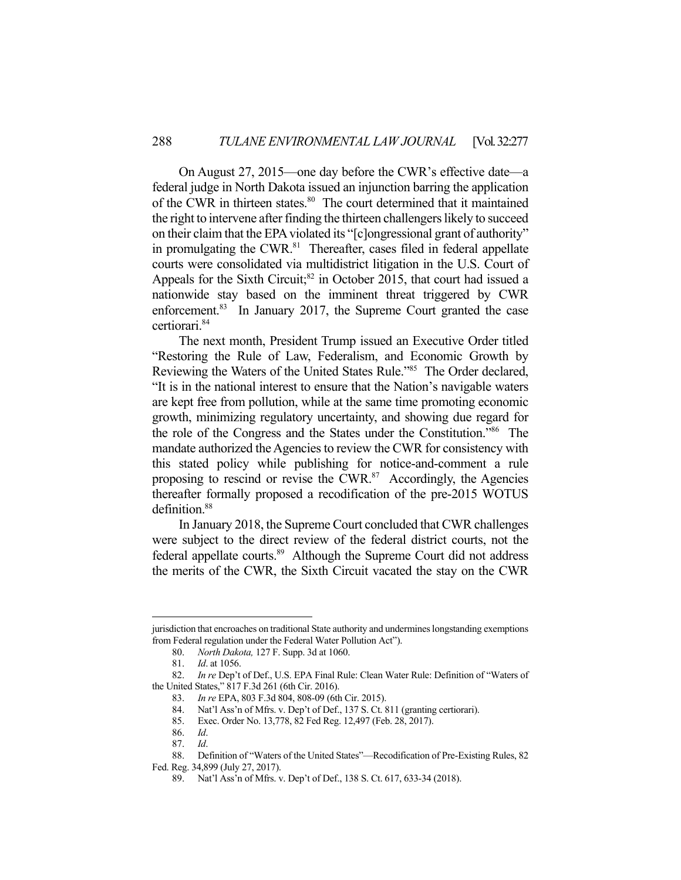On August 27, 2015—one day before the CWR's effective date—a federal judge in North Dakota issued an injunction barring the application of the CWR in thirteen states.<sup>80</sup> The court determined that it maintained the right to intervene after finding the thirteen challengers likely to succeed on their claim that the EPA violated its "[c]ongressional grant of authority" in promulgating the CWR.<sup>81</sup> Thereafter, cases filed in federal appellate courts were consolidated via multidistrict litigation in the U.S. Court of Appeals for the Sixth Circuit; $^{82}$  in October 2015, that court had issued a nationwide stay based on the imminent threat triggered by CWR enforcement.<sup>83</sup> In January 2017, the Supreme Court granted the case certiorari.84

 The next month, President Trump issued an Executive Order titled "Restoring the Rule of Law, Federalism, and Economic Growth by Reviewing the Waters of the United States Rule."85 The Order declared, "It is in the national interest to ensure that the Nation's navigable waters are kept free from pollution, while at the same time promoting economic growth, minimizing regulatory uncertainty, and showing due regard for the role of the Congress and the States under the Constitution."86 The mandate authorized the Agencies to review the CWR for consistency with this stated policy while publishing for notice-and-comment a rule proposing to rescind or revise the CWR. $87$  Accordingly, the Agencies thereafter formally proposed a recodification of the pre-2015 WOTUS definition.<sup>88</sup>

 In January 2018, the Supreme Court concluded that CWR challenges were subject to the direct review of the federal district courts, not the federal appellate courts.<sup>89</sup> Although the Supreme Court did not address the merits of the CWR, the Sixth Circuit vacated the stay on the CWR

jurisdiction that encroaches on traditional State authority and undermines longstanding exemptions from Federal regulation under the Federal Water Pollution Act").

 <sup>80.</sup> *North Dakota,* 127 F. Supp. 3d at 1060.

 <sup>81.</sup> *Id*. at 1056.

 <sup>82.</sup> *In re* Dep't of Def., U.S. EPA Final Rule: Clean Water Rule: Definition of "Waters of the United States," 817 F.3d 261 (6th Cir. 2016).

 <sup>83.</sup> *In re* EPA, 803 F.3d 804, 808-09 (6th Cir. 2015).

 <sup>84.</sup> Nat'l Ass'n of Mfrs. v. Dep't of Def., 137 S. Ct. 811 (granting certiorari).

 <sup>85.</sup> Exec. Order No. 13,778, 82 Fed Reg. 12,497 (Feb. 28, 2017).

 <sup>86.</sup> *Id*.

 <sup>87.</sup> *Id*.

 <sup>88.</sup> Definition of "Waters of the United States"—Recodification of Pre-Existing Rules, 82 Fed. Reg. 34,899 (July 27, 2017).

 <sup>89.</sup> Nat'l Ass'n of Mfrs. v. Dep't of Def., 138 S. Ct. 617, 633-34 (2018).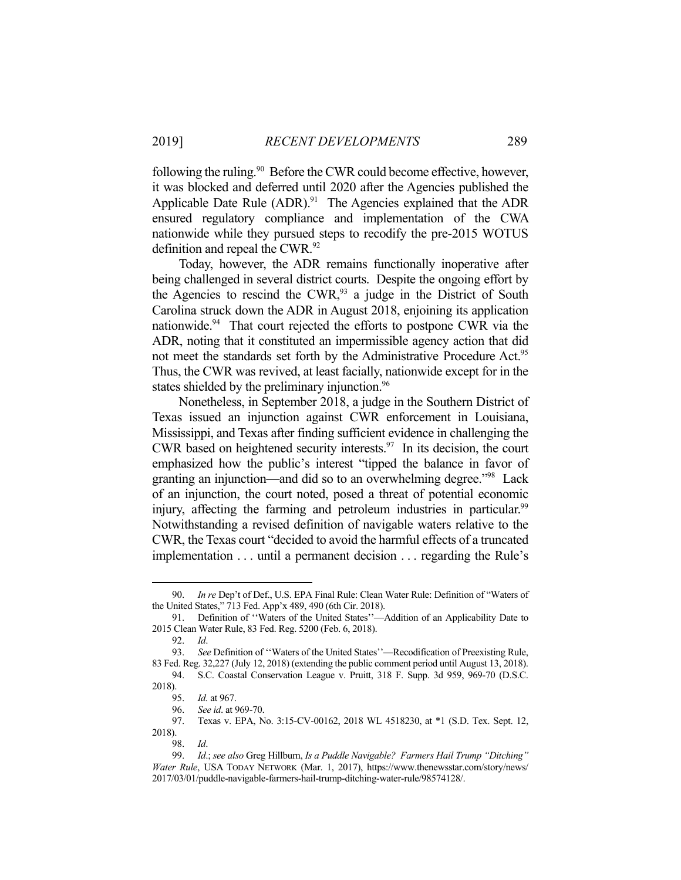following the ruling.<sup>90</sup> Before the CWR could become effective, however, it was blocked and deferred until 2020 after the Agencies published the Applicable Date Rule (ADR).<sup>91</sup> The Agencies explained that the ADR ensured regulatory compliance and implementation of the CWA nationwide while they pursued steps to recodify the pre-2015 WOTUS definition and repeal the CWR.<sup>92</sup>

 Today, however, the ADR remains functionally inoperative after being challenged in several district courts. Despite the ongoing effort by the Agencies to rescind the CWR, $93$  a judge in the District of South Carolina struck down the ADR in August 2018, enjoining its application nationwide.<sup>94</sup> That court rejected the efforts to postpone CWR via the ADR, noting that it constituted an impermissible agency action that did not meet the standards set forth by the Administrative Procedure Act.<sup>95</sup> Thus, the CWR was revived, at least facially, nationwide except for in the states shielded by the preliminary injunction.<sup>96</sup>

 Nonetheless, in September 2018, a judge in the Southern District of Texas issued an injunction against CWR enforcement in Louisiana, Mississippi, and Texas after finding sufficient evidence in challenging the CWR based on heightened security interests. $97$  In its decision, the court emphasized how the public's interest "tipped the balance in favor of granting an injunction—and did so to an overwhelming degree."98 Lack of an injunction, the court noted, posed a threat of potential economic injury, affecting the farming and petroleum industries in particular.<sup>99</sup> Notwithstanding a revised definition of navigable waters relative to the CWR, the Texas court "decided to avoid the harmful effects of a truncated implementation . . . until a permanent decision . . . regarding the Rule's

 <sup>90.</sup> *In re* Dep't of Def., U.S. EPA Final Rule: Clean Water Rule: Definition of "Waters of the United States," 713 Fed. App'x 489, 490 (6th Cir. 2018).

 <sup>91.</sup> Definition of ''Waters of the United States''—Addition of an Applicability Date to 2015 Clean Water Rule, 83 Fed. Reg. 5200 (Feb. 6, 2018).

 <sup>92.</sup> *Id*.

 <sup>93.</sup> *See* Definition of ''Waters of the United States''—Recodification of Preexisting Rule, 83 Fed. Reg. 32,227 (July 12, 2018) (extending the public comment period until August 13, 2018).

 <sup>94.</sup> S.C. Coastal Conservation League v. Pruitt, 318 F. Supp. 3d 959, 969-70 (D.S.C. 2018).

 <sup>95.</sup> *Id.* at 967.

 <sup>96.</sup> *See id*. at 969-70.

 <sup>97.</sup> Texas v. EPA, No. 3:15-CV-00162, 2018 WL 4518230, at \*1 (S.D. Tex. Sept. 12, 2018).

 <sup>98.</sup> *Id*.

 <sup>99.</sup> *Id*.; *see also* Greg Hillburn, *Is a Puddle Navigable? Farmers Hail Trump "Ditching" Water Rule*, USA TODAY NETWORK (Mar. 1, 2017), https://www.thenewsstar.com/story/news/ 2017/03/01/puddle-navigable-farmers-hail-trump-ditching-water-rule/98574128/.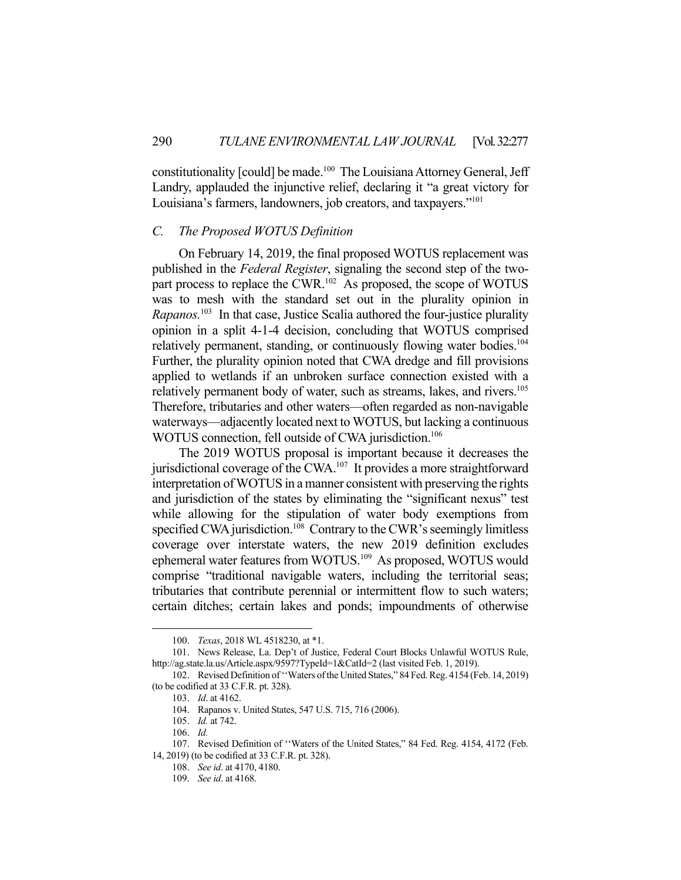constitutionality [could] be made.100 The Louisiana Attorney General, Jeff Landry, applauded the injunctive relief, declaring it "a great victory for Louisiana's farmers, landowners, job creators, and taxpayers."101

## *C. The Proposed WOTUS Definition*

 On February 14, 2019, the final proposed WOTUS replacement was published in the *Federal Register*, signaling the second step of the twopart process to replace the CWR.<sup>102</sup> As proposed, the scope of WOTUS was to mesh with the standard set out in the plurality opinion in *Rapanos.*<sup>103</sup> In that case, Justice Scalia authored the four-justice plurality opinion in a split 4-1-4 decision, concluding that WOTUS comprised relatively permanent, standing, or continuously flowing water bodies.<sup>104</sup> Further, the plurality opinion noted that CWA dredge and fill provisions applied to wetlands if an unbroken surface connection existed with a relatively permanent body of water, such as streams, lakes, and rivers.<sup>105</sup> Therefore, tributaries and other waters—often regarded as non-navigable waterways—adjacently located next to WOTUS, but lacking a continuous WOTUS connection, fell outside of CWA jurisdiction.<sup>106</sup>

 The 2019 WOTUS proposal is important because it decreases the jurisdictional coverage of the CWA.<sup>107</sup> It provides a more straightforward interpretation of WOTUS in a manner consistent with preserving the rights and jurisdiction of the states by eliminating the "significant nexus" test while allowing for the stipulation of water body exemptions from specified CWA jurisdiction.<sup>108</sup> Contrary to the CWR's seemingly limitless coverage over interstate waters, the new 2019 definition excludes ephemeral water features from WOTUS.109 As proposed, WOTUS would comprise "traditional navigable waters, including the territorial seas; tributaries that contribute perennial or intermittent flow to such waters; certain ditches; certain lakes and ponds; impoundments of otherwise

<u>.</u>

 <sup>100.</sup> *Texas*, 2018 WL 4518230, at \*1.

 <sup>101.</sup> News Release, La. Dep't of Justice, Federal Court Blocks Unlawful WOTUS Rule, http://ag.state.la.us/Article.aspx/9597?TypeId=1&CatId=2 (last visited Feb. 1, 2019).

 <sup>102.</sup> Revised Definition of ''Waters of the United States," 84 Fed. Reg. 4154 (Feb. 14, 2019) (to be codified at 33 C.F.R. pt. 328).

 <sup>103.</sup> *Id*. at 4162.

 <sup>104.</sup> Rapanos v. United States, 547 U.S. 715, 716 (2006).

 <sup>105.</sup> *Id.* at 742.

 <sup>106.</sup> *Id.*

 <sup>107.</sup> Revised Definition of ''Waters of the United States," 84 Fed. Reg. 4154, 4172 (Feb. 14, 2019) (to be codified at 33 C.F.R. pt. 328).

 <sup>108.</sup> *See id*. at 4170, 4180.

 <sup>109.</sup> *See id*. at 4168.